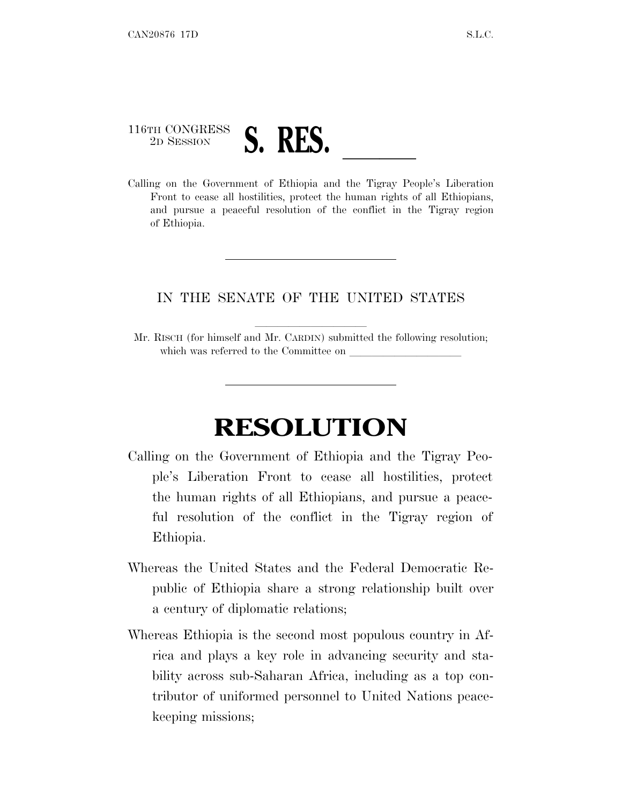## 116TH CONGRESS <sup>2D SESSION</sup> **S. RES.** <u>Calling on the Government of Ethiopia and the Tigray People's Liberation</u>

Front to cease all hostilities, protect the human rights of all Ethiopians, and pursue a peaceful resolution of the conflict in the Tigray region of Ethiopia.

## IN THE SENATE OF THE UNITED STATES

Mr. RISCH (for himself and Mr. CARDIN) submitted the following resolution; which was referred to the Committee on

## **RESOLUTION**

- Calling on the Government of Ethiopia and the Tigray People's Liberation Front to cease all hostilities, protect the human rights of all Ethiopians, and pursue a peaceful resolution of the conflict in the Tigray region of Ethiopia.
- Whereas the United States and the Federal Democratic Republic of Ethiopia share a strong relationship built over a century of diplomatic relations;
- Whereas Ethiopia is the second most populous country in Africa and plays a key role in advancing security and stability across sub-Saharan Africa, including as a top contributor of uniformed personnel to United Nations peacekeeping missions;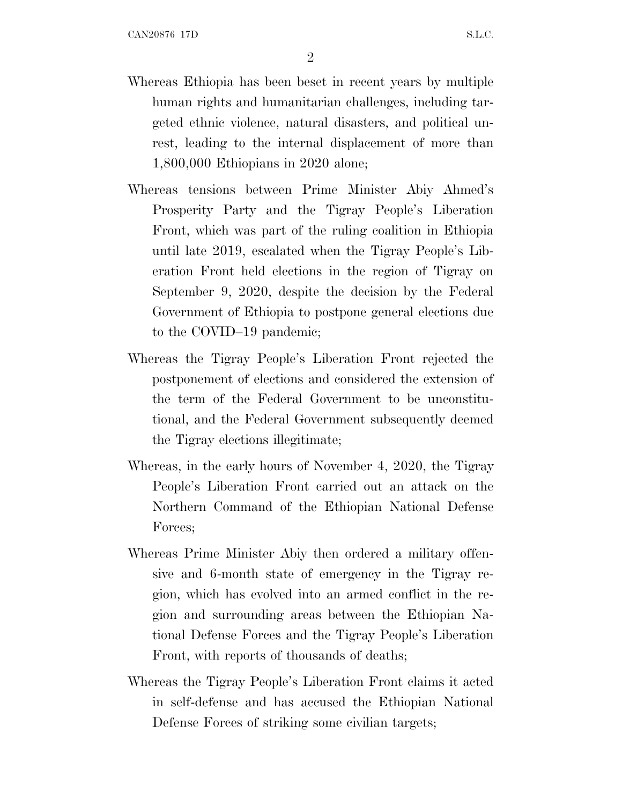- Whereas Ethiopia has been beset in recent years by multiple human rights and humanitarian challenges, including targeted ethnic violence, natural disasters, and political unrest, leading to the internal displacement of more than 1,800,000 Ethiopians in 2020 alone;
- Whereas tensions between Prime Minister Abiy Ahmed's Prosperity Party and the Tigray People's Liberation Front, which was part of the ruling coalition in Ethiopia until late 2019, escalated when the Tigray People's Liberation Front held elections in the region of Tigray on September 9, 2020, despite the decision by the Federal Government of Ethiopia to postpone general elections due to the COVID–19 pandemic;
- Whereas the Tigray People's Liberation Front rejected the postponement of elections and considered the extension of the term of the Federal Government to be unconstitutional, and the Federal Government subsequently deemed the Tigray elections illegitimate;
- Whereas, in the early hours of November 4, 2020, the Tigray People's Liberation Front carried out an attack on the Northern Command of the Ethiopian National Defense Forces;
- Whereas Prime Minister Abiy then ordered a military offensive and 6-month state of emergency in the Tigray region, which has evolved into an armed conflict in the region and surrounding areas between the Ethiopian National Defense Forces and the Tigray People's Liberation Front, with reports of thousands of deaths;
- Whereas the Tigray People's Liberation Front claims it acted in self-defense and has accused the Ethiopian National Defense Forces of striking some civilian targets;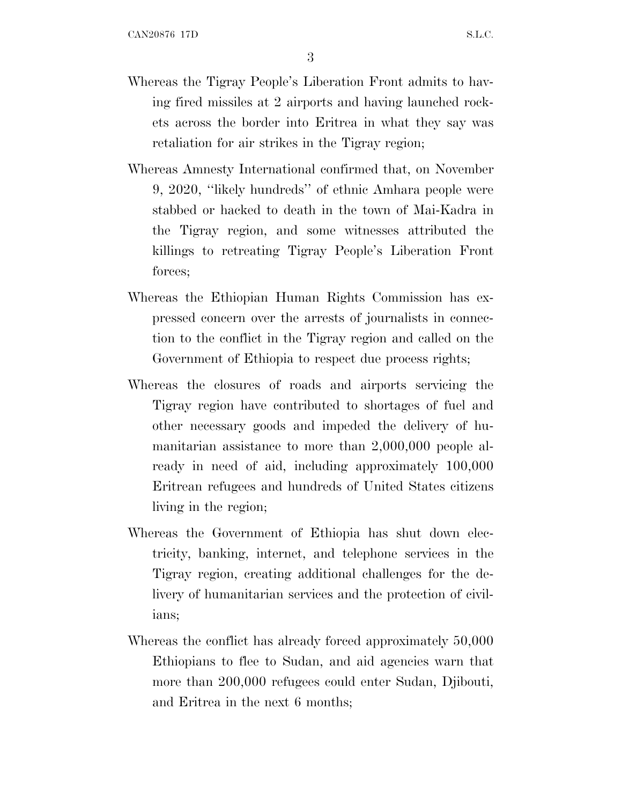- Whereas the Tigray People's Liberation Front admits to having fired missiles at 2 airports and having launched rockets across the border into Eritrea in what they say was retaliation for air strikes in the Tigray region;
- Whereas Amnesty International confirmed that, on November 9, 2020, ''likely hundreds'' of ethnic Amhara people were stabbed or hacked to death in the town of Mai-Kadra in the Tigray region, and some witnesses attributed the killings to retreating Tigray People's Liberation Front forces:
- Whereas the Ethiopian Human Rights Commission has expressed concern over the arrests of journalists in connection to the conflict in the Tigray region and called on the Government of Ethiopia to respect due process rights;
- Whereas the closures of roads and airports servicing the Tigray region have contributed to shortages of fuel and other necessary goods and impeded the delivery of humanitarian assistance to more than 2,000,000 people already in need of aid, including approximately 100,000 Eritrean refugees and hundreds of United States citizens living in the region;
- Whereas the Government of Ethiopia has shut down electricity, banking, internet, and telephone services in the Tigray region, creating additional challenges for the delivery of humanitarian services and the protection of civilians;
- Whereas the conflict has already forced approximately 50,000 Ethiopians to flee to Sudan, and aid agencies warn that more than 200,000 refugees could enter Sudan, Djibouti, and Eritrea in the next 6 months;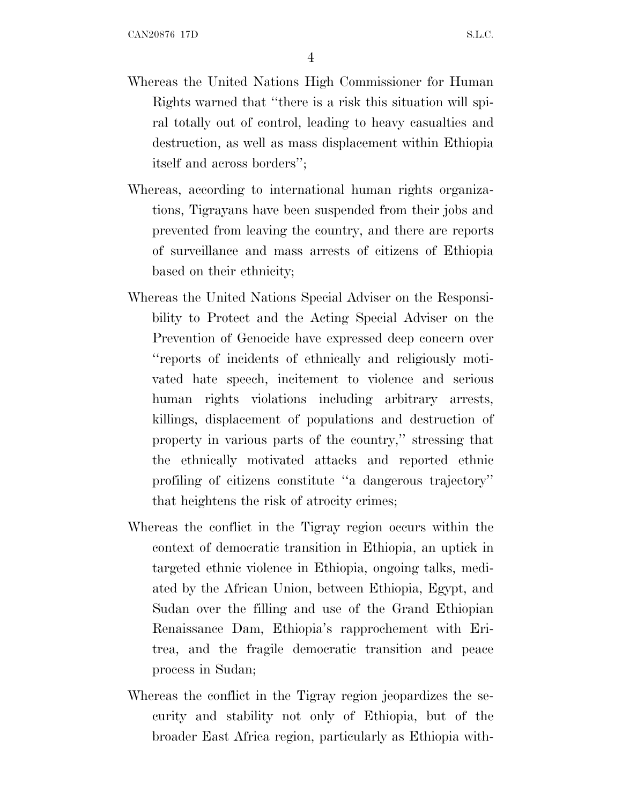- Whereas the United Nations High Commissioner for Human Rights warned that ''there is a risk this situation will spiral totally out of control, leading to heavy casualties and destruction, as well as mass displacement within Ethiopia itself and across borders'';
- Whereas, according to international human rights organizations, Tigrayans have been suspended from their jobs and prevented from leaving the country, and there are reports of surveillance and mass arrests of citizens of Ethiopia based on their ethnicity;
- Whereas the United Nations Special Adviser on the Responsibility to Protect and the Acting Special Adviser on the Prevention of Genocide have expressed deep concern over ''reports of incidents of ethnically and religiously motivated hate speech, incitement to violence and serious human rights violations including arbitrary arrests, killings, displacement of populations and destruction of property in various parts of the country,'' stressing that the ethnically motivated attacks and reported ethnic profiling of citizens constitute ''a dangerous trajectory'' that heightens the risk of atrocity crimes;
- Whereas the conflict in the Tigray region occurs within the context of democratic transition in Ethiopia, an uptick in targeted ethnic violence in Ethiopia, ongoing talks, mediated by the African Union, between Ethiopia, Egypt, and Sudan over the filling and use of the Grand Ethiopian Renaissance Dam, Ethiopia's rapprochement with Eritrea, and the fragile democratic transition and peace process in Sudan;
- Whereas the conflict in the Tigray region jeopardizes the security and stability not only of Ethiopia, but of the broader East Africa region, particularly as Ethiopia with-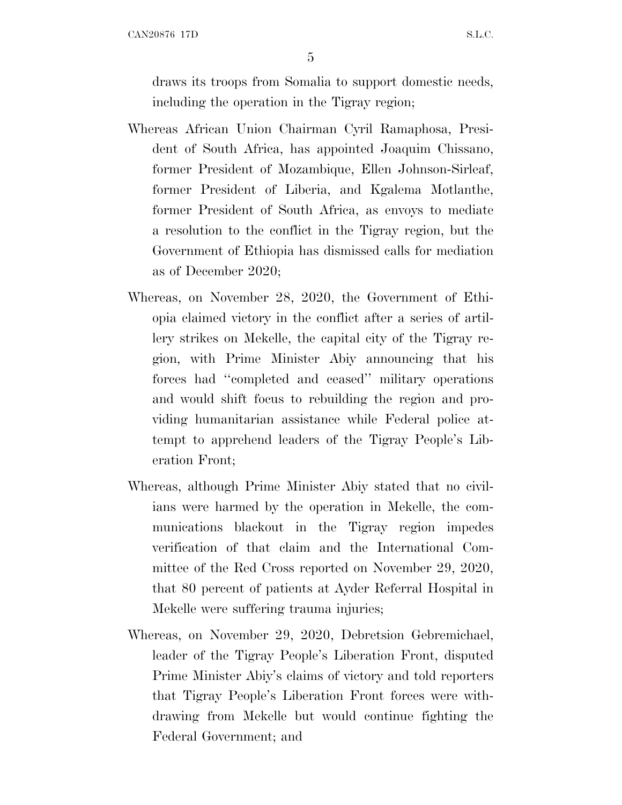CAN20876 17D S.L.C.

5

draws its troops from Somalia to support domestic needs, including the operation in the Tigray region;

- Whereas African Union Chairman Cyril Ramaphosa, President of South Africa, has appointed Joaquim Chissano, former President of Mozambique, Ellen Johnson-Sirleaf, former President of Liberia, and Kgalema Motlanthe, former President of South Africa, as envoys to mediate a resolution to the conflict in the Tigray region, but the Government of Ethiopia has dismissed calls for mediation as of December 2020;
- Whereas, on November 28, 2020, the Government of Ethiopia claimed victory in the conflict after a series of artillery strikes on Mekelle, the capital city of the Tigray region, with Prime Minister Abiy announcing that his forces had ''completed and ceased'' military operations and would shift focus to rebuilding the region and providing humanitarian assistance while Federal police attempt to apprehend leaders of the Tigray People's Liberation Front;
- Whereas, although Prime Minister Abiy stated that no civilians were harmed by the operation in Mekelle, the communications blackout in the Tigray region impedes verification of that claim and the International Committee of the Red Cross reported on November 29, 2020, that 80 percent of patients at Ayder Referral Hospital in Mekelle were suffering trauma injuries;
- Whereas, on November 29, 2020, Debretsion Gebremichael, leader of the Tigray People's Liberation Front, disputed Prime Minister Abiy's claims of victory and told reporters that Tigray People's Liberation Front forces were withdrawing from Mekelle but would continue fighting the Federal Government; and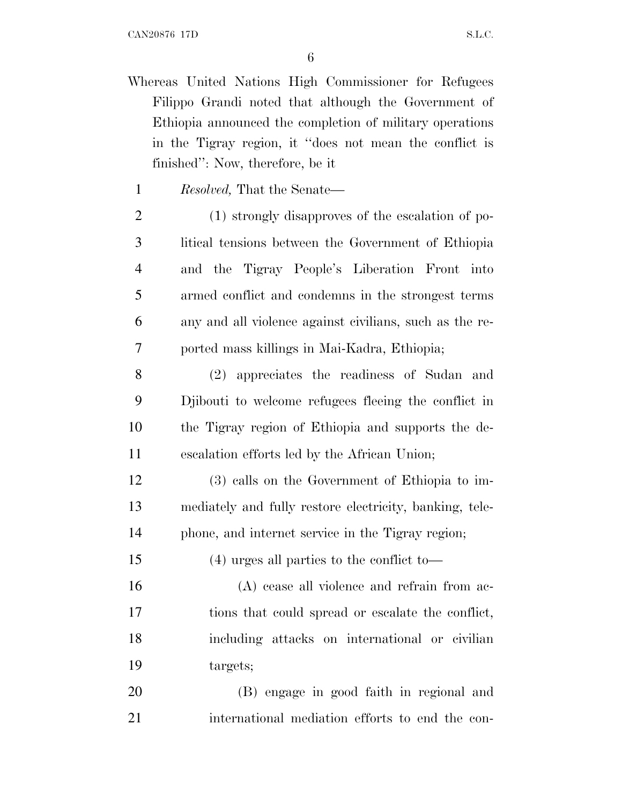- Whereas United Nations High Commissioner for Refugees Filippo Grandi noted that although the Government of Ethiopia announced the completion of military operations in the Tigray region, it ''does not mean the conflict is finished'': Now, therefore, be it
	- *Resolved,* That the Senate—
- (1) strongly disapproves of the escalation of po- litical tensions between the Government of Ethiopia and the Tigray People's Liberation Front into armed conflict and condemns in the strongest terms any and all violence against civilians, such as the re-ported mass killings in Mai-Kadra, Ethiopia;
- (2) appreciates the readiness of Sudan and Djibouti to welcome refugees fleeing the conflict in the Tigray region of Ethiopia and supports the de-escalation efforts led by the African Union;
- (3) calls on the Government of Ethiopia to im- mediately and fully restore electricity, banking, tele-phone, and internet service in the Tigray region;
- (4) urges all parties to the conflict to—
- (A) cease all violence and refrain from ac- tions that could spread or escalate the conflict, including attacks on international or civilian targets;
- (B) engage in good faith in regional and international mediation efforts to end the con-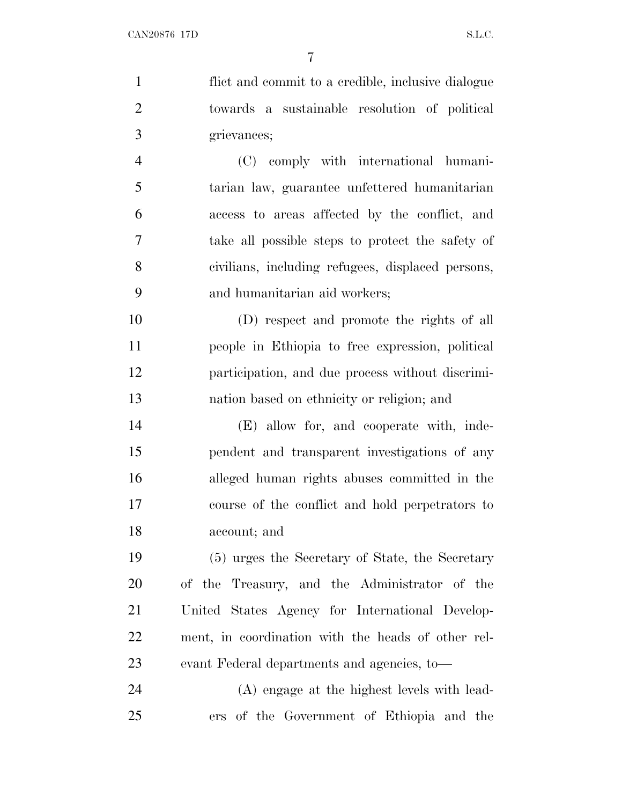flict and commit to a credible, inclusive dialogue towards a sustainable resolution of political grievances; (C) comply with international humani- tarian law, guarantee unfettered humanitarian access to areas affected by the conflict, and

 take all possible steps to protect the safety of civilians, including refugees, displaced persons, and humanitarian aid workers;

 (D) respect and promote the rights of all people in Ethiopia to free expression, political participation, and due process without discrimi-nation based on ethnicity or religion; and

 (E) allow for, and cooperate with, inde- pendent and transparent investigations of any alleged human rights abuses committed in the course of the conflict and hold perpetrators to account; and

 (5) urges the Secretary of State, the Secretary of the Treasury, and the Administrator of the United States Agency for International Develop- ment, in coordination with the heads of other rel-evant Federal departments and agencies, to—

 (A) engage at the highest levels with lead-ers of the Government of Ethiopia and the